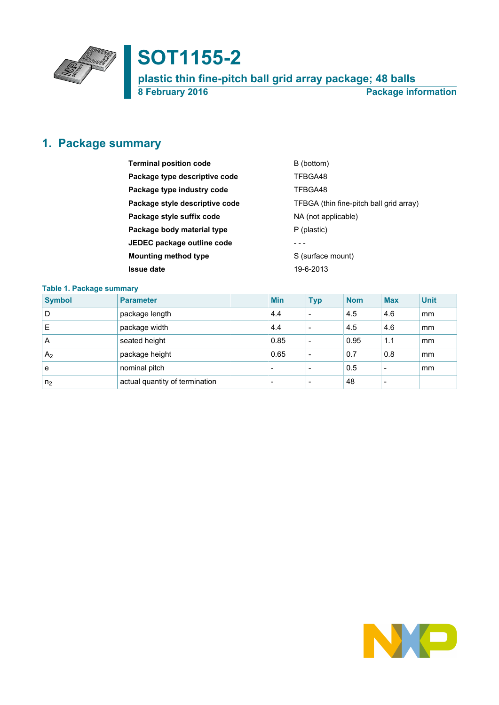

# **SOT1155-2**

**plastic thin fine-pitch ball grid array package; 48 balls 8 February 2016 Package information**

# <span id="page-0-0"></span>**1. Package summary**

| <b>Terminal position code</b>                                             | B (bottom)        |
|---------------------------------------------------------------------------|-------------------|
| Package type descriptive code                                             | TFBGA48           |
| Package type industry code                                                | TFBGA48           |
| TFBGA (thin fine-pitch ball grid array)<br>Package style descriptive code |                   |
| Package style suffix code<br>NA (not applicable)                          |                   |
| Package body material type                                                | P (plastic)       |
| JEDEC package outline code                                                |                   |
| <b>Mounting method type</b>                                               | S (surface mount) |
| <b>Issue date</b>                                                         | 19-6-2013         |

### **Table 1. Package summary**

| <b>Symbol</b>  | <b>Parameter</b>               | <b>Min</b>               | <b>Typ</b>               | <b>Nom</b> | <b>Max</b> | <b>Unit</b> |
|----------------|--------------------------------|--------------------------|--------------------------|------------|------------|-------------|
| D              | package length                 | 4.4                      | $\overline{\phantom{0}}$ | 4.5        | 4.6        | mm          |
| Е              | package width                  | 4.4                      | $\overline{\phantom{0}}$ | 4.5        | 4.6        | mm          |
| A              | seated height                  | 0.85                     | -                        | 0.95       | 1.1        | mm          |
| A <sub>2</sub> | package height                 | 0.65                     | -                        | 0.7        | 0.8        | mm          |
| e              | nominal pitch                  | $\overline{\phantom{0}}$ |                          | 0.5        |            | mm          |
| n <sub>2</sub> | actual quantity of termination | $\overline{\phantom{0}}$ |                          | 48         |            |             |

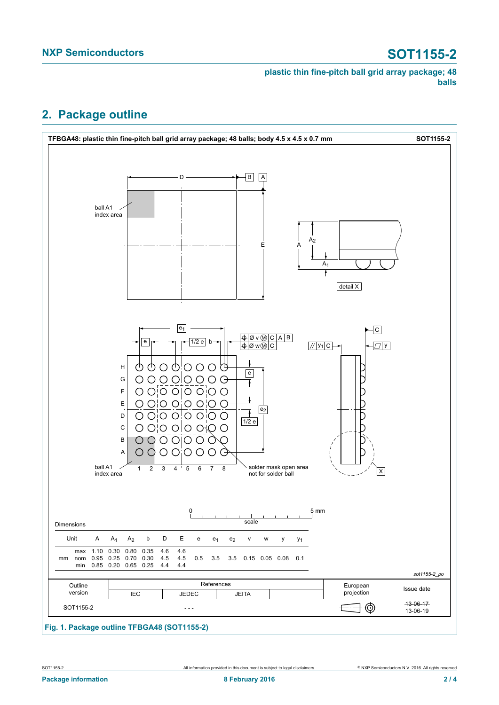**plastic thin fine-pitch ball grid array package; 48 balls**

## <span id="page-1-0"></span>**2. Package outline**



### **Fig. 1. Package outline TFBGA48 (SOT1155-2)**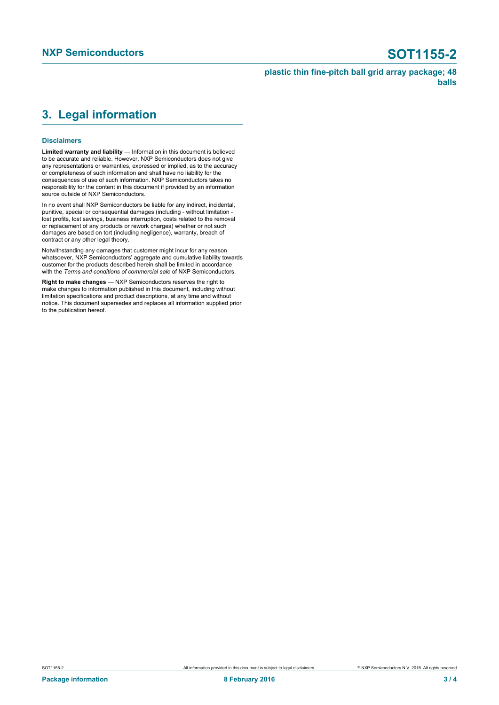**plastic thin fine-pitch ball grid array package; 48 balls**

# <span id="page-2-0"></span>**3. Legal information**

### **Disclaimers**

**Limited warranty and liability** — Information in this document is believed to be accurate and reliable. However, NXP Semiconductors does not give any representations or warranties, expressed or implied, as to the accuracy or completeness of such information and shall have no liability for the consequences of use of such information. NXP Semiconductors takes no responsibility for the content in this document if provided by an information source outside of NXP Semiconductors.

In no event shall NXP Semiconductors be liable for any indirect, incidental, punitive, special or consequential damages (including - without limitation lost profits, lost savings, business interruption, costs related to the removal or replacement of any products or rework charges) whether or not such damages are based on tort (including negligence), warranty, breach of contract or any other legal theory.

Notwithstanding any damages that customer might incur for any reason whatsoever, NXP Semiconductors' aggregate and cumulative liability towards customer for the products described herein shall be limited in accordance with the *Terms and conditions of commercial sale* of NXP Semiconductors.

**Right to make changes** — NXP Semiconductors reserves the right to make changes to information published in this document, including without limitation specifications and product descriptions, at any time and without notice. This document supersedes and replaces all information supplied prior to the publication hereof.